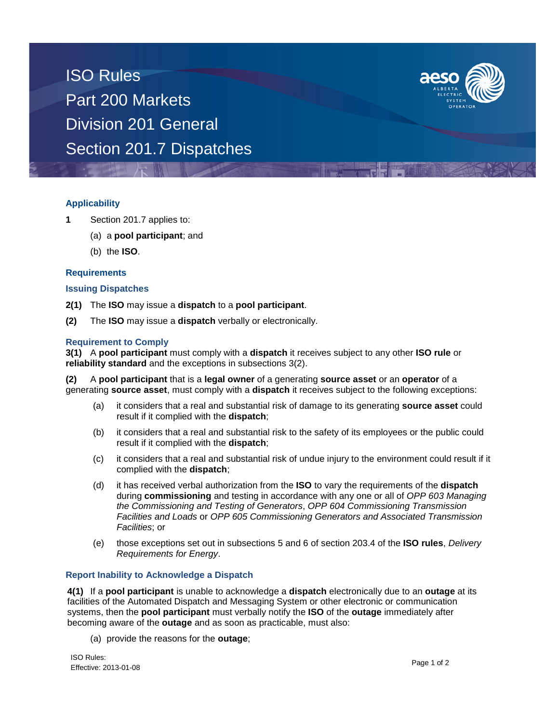ISO Rules Part 200 Markets Division 201 General Section 201.7 Dispatches



# **Applicability**

- **1** Section 201.7 applies to:
	- (a) a **pool participant**; and
	- (b) the **ISO**.

#### **Requirements**

#### **Issuing Dispatches**

- **2(1)** The **ISO** may issue a **dispatch** to a **pool participant**.
- **(2)** The **ISO** may issue a **dispatch** verbally or electronically.

#### **Requirement to Comply**

**3(1)** A **pool participant** must comply with a **dispatch** it receives subject to any other **ISO rule** or **reliability standard** and the exceptions in subsections 3(2).

**(2)** A **pool participant** that is a **legal owner** of a generating **source asset** or an **operator** of a generating **source asset**, must comply with a **dispatch** it receives subject to the following exceptions:

- (a) it considers that a real and substantial risk of damage to its generating **source asset** could result if it complied with the **dispatch**;
- (b) it considers that a real and substantial risk to the safety of its employees or the public could result if it complied with the **dispatch**;
- (c) it considers that a real and substantial risk of undue injury to the environment could result if it complied with the **dispatch**;
- (d) it has received verbal authorization from the **ISO** to vary the requirements of the **dispatch**  during **commissioning** and testing in accordance with any one or all of *OPP 603 Managing the Commissioning and Testing of Generators*, *OPP 604 Commissioning Transmission Facilities and Loads* or *OPP 605 Commissioning Generators and Associated Transmission Facilities*; or
- (e) those exceptions set out in subsections 5 and 6 of section 203.4 of the **ISO rules**, *Delivery Requirements for Energy*.

#### **Report Inability to Acknowledge a Dispatch**

**4(1)** If a **pool participant** is unable to acknowledge a **dispatch** electronically due to an **outage** at its facilities of the Automated Dispatch and Messaging System or other electronic or communication systems, then the **pool participant** must verbally notify the **ISO** of the **outage** immediately after becoming aware of the **outage** and as soon as practicable, must also:

(a) provide the reasons for the **outage**;

ISO Rules: Effective: 2013-01-08 Page 1 of 2